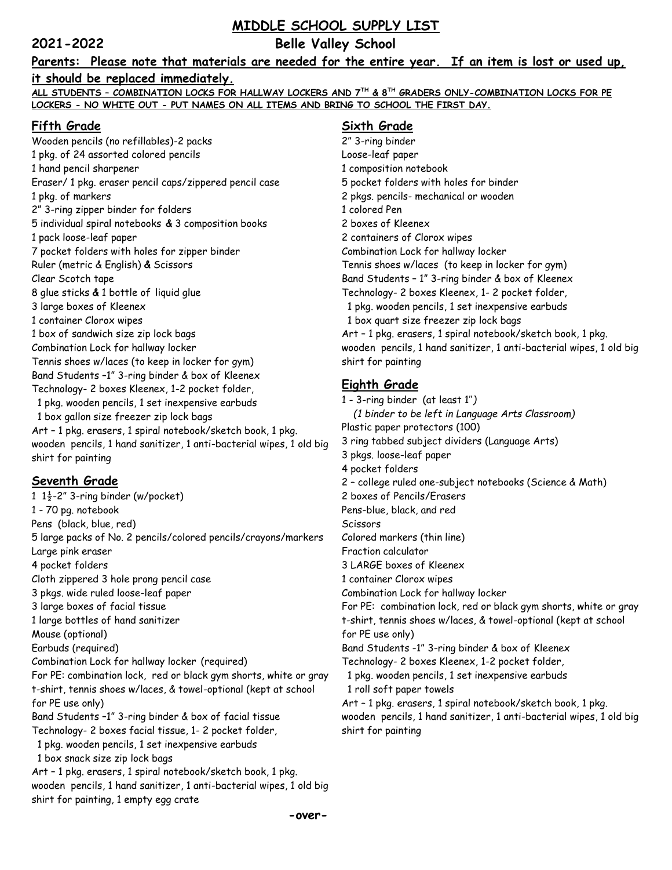# **MIDDLE SCHOOL SUPPLY LIST**

**2021-2022 Belle Valley School**

#### **Parents: Please note that materials are needed for the entire year. If an item is lost or used up,**

#### **it should be replaced immediately.**

**ALL STUDENTS – COMBINATION LOCKS FOR HALLWAY LOCKERS AND 7TH & 8TH GRADERS ONLY-COMBINATION LOCKS FOR PE LOCKERS - NO WHITE OUT - PUT NAMES ON ALL ITEMS AND BRING TO SCHOOL THE FIRST DAY.**

# **Fifth Grade**

Wooden pencils (no refillables)-2 packs 1 pkg. of 24 assorted colored pencils 1 hand pencil sharpener Eraser/ 1 pkg. eraser pencil caps/zippered pencil case 1 pkg. of markers 2" 3-ring zipper binder for folders 5 individual spiral notebooks **&** 3 composition books 1 pack loose-leaf paper 7 pocket folders with holes for zipper binder Ruler (metric & English) **&** Scissors Clear Scotch tape 8 glue sticks **&** 1 bottle of liquid glue 3 large boxes of Kleenex 1 container Clorox wipes 1 box of sandwich size zip lock bags Combination Lock for hallway locker Tennis shoes w/laces (to keep in locker for gym) Band Students –1" 3-ring binder & box of Kleenex Technology- 2 boxes Kleenex, 1-2 pocket folder, 1 pkg. wooden pencils, 1 set inexpensive earbuds 1 box gallon size freezer zip lock bags Art – 1 pkg. erasers, 1 spiral notebook/sketch book, 1 pkg. wooden pencils, 1 hand sanitizer, 1 anti-bacterial wipes, 1 old big shirt for painting

#### **Seventh Grade**

1  $1\frac{1}{2}$ -2" 3-ring binder (w/pocket) 1 - 70 pg. notebook Pens (black, blue, red) 5 large packs of No. 2 pencils/colored pencils/crayons/markers Large pink eraser 4 pocket folders Cloth zippered 3 hole prong pencil case 3 pkgs. wide ruled loose-leaf paper 3 large boxes of facial tissue 1 large bottles of hand sanitizer Mouse (optional) Earbuds (required) Combination Lock for hallway locker (required) For PE: combination lock, red or black gym shorts, white or gray t-shirt, tennis shoes w/laces, & towel-optional (kept at school for PE use only) Band Students –1" 3-ring binder & box of facial tissue Technology- 2 boxes facial tissue, 1- 2 pocket folder, 1 pkg. wooden pencils, 1 set inexpensive earbuds 1 box snack size zip lock bags Art – 1 pkg. erasers, 1 spiral notebook/sketch book, 1 pkg. wooden pencils, 1 hand sanitizer, 1 anti-bacterial wipes, 1 old big

**-over-**

shirt for painting, 1 empty egg crate

# **Sixth Grade**

2" 3-ring binder Loose-leaf paper 1 composition notebook 5 pocket folders with holes for binder 2 pkgs. pencils- mechanical or wooden 1 colored Pen 2 boxes of Kleenex 2 containers of Clorox wipes Combination Lock for hallway locker Tennis shoes w/laces (to keep in locker for gym) Band Students – 1" 3-ring binder & box of Kleenex Technology- 2 boxes Kleenex, 1- 2 pocket folder, 1 pkg. wooden pencils, 1 set inexpensive earbuds 1 box quart size freezer zip lock bags Art – 1 pkg. erasers, 1 spiral notebook/sketch book, 1 pkg. wooden pencils, 1 hand sanitizer, 1 anti-bacterial wipes, 1 old big shirt for painting

### **Eighth Grade**

1 - 3-ring binder (at least 1''*) (1 binder to be left in Language Arts Classroom)* Plastic paper protectors (100) 3 ring tabbed subject dividers (Language Arts) 3 pkgs. loose-leaf paper 4 pocket folders 2 – college ruled one-subject notebooks (Science & Math) 2 boxes of Pencils/Erasers Pens-blue, black, and red **Scissors** Colored markers (thin line) Fraction calculator 3 LARGE boxes of Kleenex 1 container Clorox wipes Combination Lock for hallway locker For PE: combination lock, red or black gym shorts, white or gray t-shirt, tennis shoes w/laces, & towel-optional (kept at school for PE use only) Band Students -1" 3-ring binder & box of Kleenex Technology- 2 boxes Kleenex, 1-2 pocket folder, 1 pkg. wooden pencils, 1 set inexpensive earbuds 1 roll soft paper towels Art – 1 pkg. erasers, 1 spiral notebook/sketch book, 1 pkg. wooden pencils, 1 hand sanitizer, 1 anti-bacterial wipes, 1 old big

shirt for painting